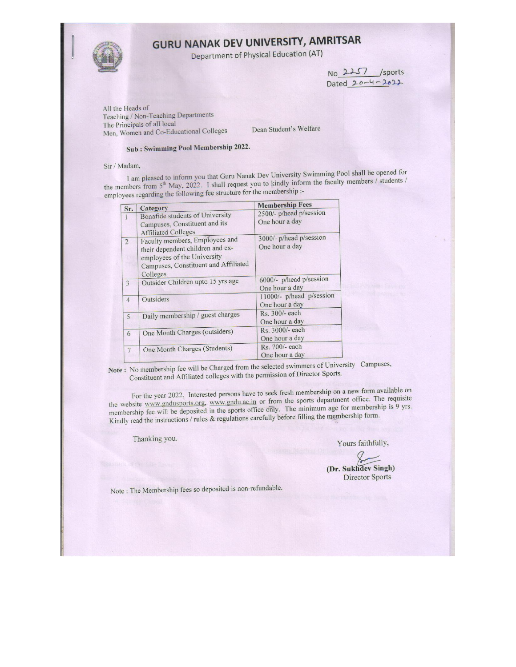# **GURU NANAK DEV UNIVERSITY, AMRITSAR**

Department of Physical Education (AT)

No 2257 /sports Dated  $20 - 4 - 2022$ 

All the Heads of Teaching / Non-Teaching Departments The Principals of all local Men, Women and Co-Educational Colleges

Dean Student's Welfare

## Sub: Swimming Pool Membership 2022.

#### Sir / Madam,

I am pleased to inform you that Guru Nanak Dev University Swimming Pool shall be opened for the members from 5<sup>th</sup> May, 2022. I shall request you to kindly inform the faculty members / students / employees regarding the following fee structure for the membership :-

| Sr.            | Category                             | <b>Membership Fees</b>   |  |  |
|----------------|--------------------------------------|--------------------------|--|--|
|                | Bonafide students of University      | 2500/- p/head p/session  |  |  |
|                | Campuses, Constituent and its        | One hour a day           |  |  |
|                | <b>Affiliated Colleges</b>           |                          |  |  |
| $\overline{2}$ | Faculty members, Employees and       | 3000/- p/head p/session  |  |  |
|                | their dependent children and ex-     | One hour a day           |  |  |
|                | employees of the University          |                          |  |  |
|                | Campuses, Constituent and Affiliated |                          |  |  |
|                | Colleges                             |                          |  |  |
| 3              | Outsider Children upto 15 yrs age    | 6000/- p/head p/session  |  |  |
|                |                                      | One hour a day           |  |  |
| $\overline{4}$ | Outsiders                            | 11000/- p/head p/session |  |  |
|                |                                      | One hour a day           |  |  |
| 5              | Daily membership / guest charges     | Rs. 300/- each           |  |  |
|                |                                      | One hour a day           |  |  |
| 6              | One Month Charges (outsiders)        | Rs. 3000/- each          |  |  |
|                |                                      | One hour a day           |  |  |
| 7              | One Month Charges (Students)         | Rs. 700/- each           |  |  |
|                |                                      | One hour a day           |  |  |

Note: No membership fee will be Charged from the selected swimmers of University Campuses, Constituent and Affiliated colleges with the permission of Director Sports.

For the year 2022, Interested persons have to seek fresh membership on a new form available on the website www.gndusports.org, www.gndu.ac.in or from the sports department office. The requisite membership fee will be deposited in the sports office only. The minimum age for membership is 9 yrs. Kindly read the instructions / rules & regulations carefully before filling the membership form.

Thanking you.

Yours faithfully,

(Dr. Sukhdev Singh) **Director Sports** 

Note: The Membership fees so deposited is non-refundable.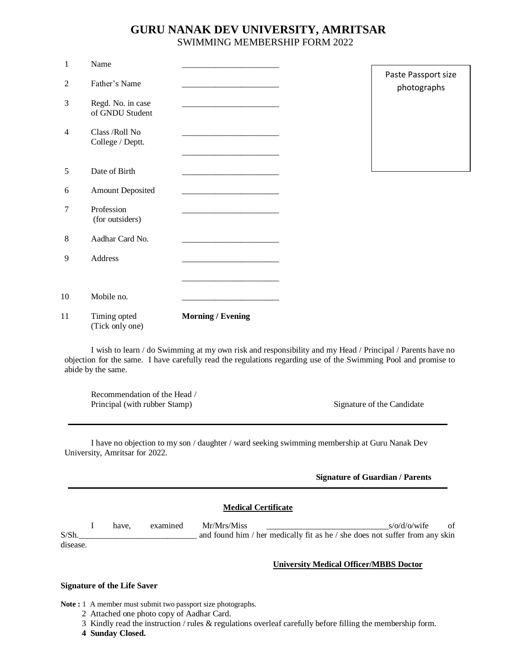## **GURU NANAK DEV UNIVERSITY, AMRITSAR** SWIMMING MEMBERSHIP FORM 2022

| $\mathbf{1}$   | Name                                 |                                                                              |                                    |
|----------------|--------------------------------------|------------------------------------------------------------------------------|------------------------------------|
| $\overline{2}$ | Father's Name                        |                                                                              | Paste Passport size<br>photographs |
| 3              | Regd. No. in case<br>of GNDU Student | <u> 1989 - Johann Barbara, martxa alemaniar amerikan personal (h. 1989).</u> |                                    |
| 4              | Class /Roll No<br>College / Deptt.   |                                                                              |                                    |
|                |                                      |                                                                              |                                    |
| 5              | Date of Birth                        |                                                                              |                                    |
| 6              | <b>Amount Deposited</b>              |                                                                              |                                    |
| 7              | Profession<br>(for outsiders)        |                                                                              |                                    |
| 8              | Aadhar Card No.                      |                                                                              |                                    |
| 9              | Address                              |                                                                              |                                    |
|                |                                      |                                                                              |                                    |
| 10             | Mobile no.                           |                                                                              |                                    |
| 11             | Timing opted<br>(Tick only one)      | <b>Morning / Evening</b>                                                     |                                    |

I wish to learn / do Swimming at my own risk and responsibility and my Head / Principal / Parents have no objection for the same. I have carefully read the regulations regarding use of the Swimming Pool and promise to abide by the same.

Recommendation of the Head / Principal (with rubber Stamp) Signature of the Candidate

I have no objection to my son / daughter / ward seeking swimming membership at Guru Nanak Dev University, Amritsar for 2022.

#### **Signature of Guardian / Parents**

#### **Medical Certificate**

I have, examined Mr/Mrs/Miss  $s/\omega d/\omega/\text{wife}$  of S/Sh.\_\_\_\_\_\_\_\_\_\_\_\_\_\_\_\_\_\_\_\_\_\_\_\_\_\_\_\_ and found him / her medically fit as he / she does not suffer from any skin disease.

#### **University Medical Officer/MBBS Doctor**

j

#### **Signature of the Life Saver**

Note : 1 A member must submit two passport size photographs.

- 2 Attached one photo copy of Aadhar Card.
- 3 Kindly read the instruction / rules & regulations overleaf carefully before filling the membership form.
- **4 Sunday Closed.**